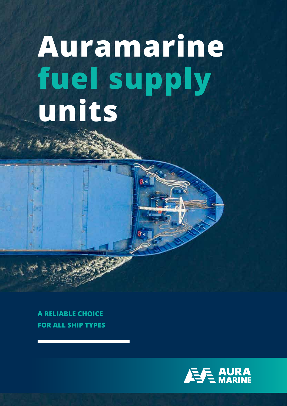# **Auramarine fuel supply units**

**A RELIABLE CHOICE FOR ALL SHIP TYPES** 

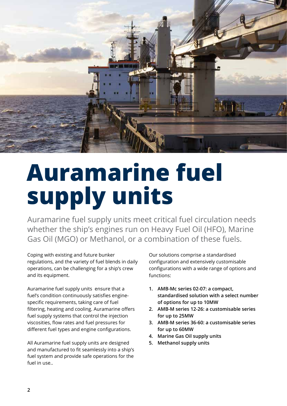

## **Auramarine fuel supply units**

Auramarine fuel supply units meet critical fuel circulation needs whether the ship's engines run on Heavy Fuel Oil (HFO), Marine Gas Oil (MGO) or Methanol, or a combination of these fuels.

Coping with existing and future bunker regulations, and the variety of fuel blends in daily operations, can be challenging for a ship's crew and its equipment.

Auramarine fuel supply units ensure that a fuel's condition continuously satisfies enginespecific requirements, taking care of fuel filtering, heating and cooling. Auramarine offers fuel supply systems that control the injection viscosities, flow rates and fuel pressures for different fuel types and engine configurations.

All Auramarine fuel supply units are designed and manufactured to fit seamlessly into a ship's fuel system and provide safe operations for the fuel in use..

Our solutions comprise a standardised configuration and extensively customisable configurations with a wide range of options and functions:

- **1. AMB-Mc series 02-07: a compact, standardised solution with a select number of options for up to 10MW**
- **2. AMB-M series 12-26: a customisable series for up to 25MW**
- **3. AMB-M series 36-60: a customisable series for up to 60MW**
- **4. Marine Gas Oil supply units**
- **5. Methanol supply units**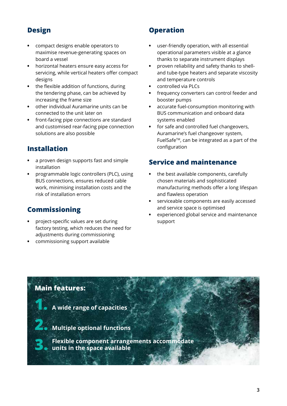#### **Design**

- **•** compact designs enable operators to maximise revenue-generating spaces on board a vessel
- **•** horizontal heaters ensure easy access for servicing, while vertical heaters offer compact designs
- **•** the flexible addition of functions, during the tendering phase, can be achieved by increasing the frame size
- **•** other individual Auramarine units can be connected to the unit later on
- **•** front-facing pipe connections are standard and customised rear-facing pipe connection solutions are also possible

#### **Installation**

- **•** a proven design supports fast and simple installation
- **•** programmable logic controllers (PLC), using BUS connections, ensures reduced cable work, minimising installation costs and the risk of installation errors

#### **Commissioning**

- **•** project-specific values are set during factory testing, which reduces the need for adjustments during commissioning
- **•** commissioning support available

#### **Operation**

- **•** user-friendly operation, with all essential operational parameters visible at a glance thanks to separate instrument displays
- **•** proven reliability and safety thanks to shelland tube-type heaters and separate viscosity and temperature controls
- **•** controlled via PLCs
- **•** frequency converters can control feeder and booster pumps
- **•** accurate fuel-consumption monitoring with BUS communication and onboard data systems enabled
- **•** for safe and controlled fuel changeovers, Auramarine's fuel changeover system, FuelSafe<sup>™</sup>, can be integrated as a part of the configuration

#### **Service and maintenance**

- **•** the best available components, carefully chosen materials and sophisticated manufacturing methods offer a long lifespan and flawless operation
- **•** serviceable components are easily accessed and service space is optimised
- **•** experienced global service and maintenance support

#### **Main features:**

- **1. A wide range of capacities**
- **2. Multiple optional functions** 
	- **3. Flexible component arrangements accommodate units in the space available**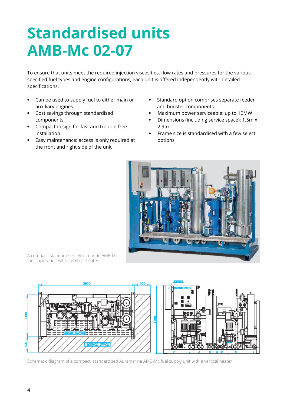### **Standardised units AMB-Mc 02-07**

To ensure that units meet the required injection viscosities, flow rates and pressures for the various specified fuel types and engine configurations, each unit is offered independently with detailed specifications.

- **•** Can be used to supply fuel to either main or auxiliary engines
- **•** Cost savings through standardised components
- **•** Compact design for fast and trouble-free installation
- **•** Easy maintenance: access is only required at the front and right side of the unit
- **•** Standard option comprises separate feeder and booster components
- **•** Maximum power serviceable: up to 10MW
- **•** Dimensions (including service space): 1.5m x 2.9m
- **•** Frame size is standardised with a few select options



A compact, standardised Auramarine AMB-Mc fuel supply unit with a vertical heater



Schematic diagram of a compact, standardised Auramarine AMB-Mc fuel supply unit with a vertical heater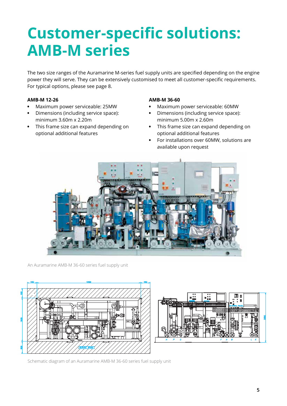### **Customer-specific solutions: AMB-M series**

The two size ranges of the Auramarine M-series fuel supply units are specified depending on the engine power they will serve. They can be extensively customised to meet all customer-specific requirements. For typical options, please see page 8.

#### **AMB-M 12-26**

- **•** Maximum power serviceable: 25MW
- **•** Dimensions (including service space): minimum 3.60m x 2.20m
- **•** This frame size can expand depending on optional additional features

#### **AMB-M 36-60**

- **•** Maximum power serviceable: 60MW
- **•** Dimensions (including service space): minimum 5.00m x 2.60m
- **•** This frame size can expand depending on optional additional features
- **•** For installations over 60MW, solutions are available upon request



An Auramarine AMB-M 36-60 series fuel supply unit





Schematic diagram of an Auramarine AMB-M 36-60 series fuel supply unit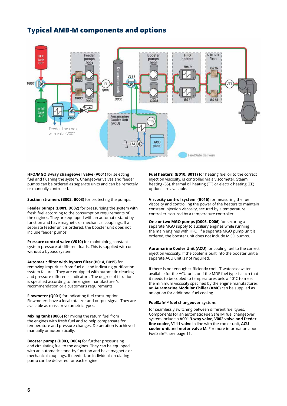#### **Typical AMB-M components and options**



**HFO/MGO 3-way changeover valve (V001)** for selecting fuel and flushing the system. Changeover valves and feeder pumps can be ordered as separate units and can be remotely or manually controlled.

**Suction strainers (B002, B003)** for protecting the pumps.

**Feeder pumps (D001, D002)** for pressurising the system with fresh fuel according to the consumption requirements of the engines. They are equipped with an automatic stand-by function and have magnetic or mechanical couplings. If a separate feeder unit is ordered, the booster unit does not include feeder pumps.

**Pressure control valve (V010)** for maintaining constant system pressure at different loads. This is supplied with or without a bypass system.

**Automatic filter with bypass filter (B014, B015)** for removing impurities from fuel oil and indicating purification system failures. They are equipped with automatic cleaning and pressure-difference indicators. The degree of filtration is specified according to the engine manufacturer's recommendation or a customer's requirements.

**Flowmeter (Q001)** for indicating fuel consumption. Flowmeters have a local totalizer and output signal. They are available as mass or volumetric types.

**Mixing tank (B006)** for mixing the return fuel from the engines with fresh fuel and to help compensate for temperature and pressure changes. De-aeration is achieved manually or automatically.

**Booster pumps (D003, D004)** for further pressurising and circulating fuel to the engines. They can be equipped with an automatic stand-by function and have magnetic or mechanical couplings. If needed, an individual circulating pump can be delivered for each engine.

**Fuel heaters (B010, B011)** for heating fuel oil to the correct injection viscosity, is controlled via a viscometer. Steam heating (SS), thermal oil heating (TT) or electric heating (EE) options are available.

**Viscosity control system (B016)** for measuring the fuel viscosity and controlling the power of the heaters to maintain constant injection viscosity, secured by a temperature controller. secured by a temperature controller.

**One or two MGO pumps (D005, D006)** for securing a separate MGO supply to auxiliary engines while running the main engines with HFO. If a separate MGO pump unit is ordered, the booster unit does not include MGO pumps.

**Auramarine Cooler Unit (ACU)** for cooling fuel to the correct injection viscosity. If the cooler is built into the booster unit a separate ACU unit is not required.

If there is not enough sufficiently cool LT-water/seawater available for the ACU-unit, or if the MDF fuel type is such that it needs to be cooled to temperatures below 40°C to meet the minimum viscosity specified by the engine manufacturer, an **Auramarine Modular Chiller (AMC)** can be supplied as an option for additional fuel cooling.

#### **FuelSafeTM fuel changeover system:**

for seamlessly switching between different fuel types. Components for an automatic FuelSafeTM fuel changeover system include a **V001 3-way valve**, **V002 valve and feeder line cooler, V111 valve** in line with the cooler unit, **ACU cooler unit** and **motor valve M***.* For more information about FuelSafeTM, see page 11.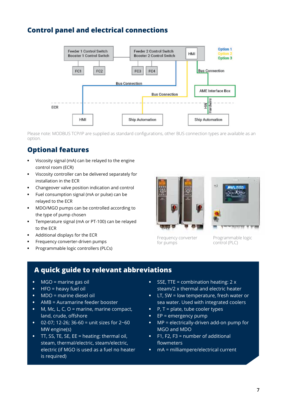#### **Control panel and electrical connections**



Please note: MODBUS TCP/IP are supplied as standard configurations, other BUS connection types are available as an option.

#### **Optional features**

- **•** Viscosity signal (mA) can be relayed to the engine control room (ECR)
- **•** Viscosity controller can be delivered separately for installation in the ECR
- **•** Changeover valve position indication and control
- **•** Fuel consumption signal (mA or pulse) can be relayed to the ECR
- **•** MDO/MGO pumps can be controlled according to the type of pump chosen
- **•** Temperature signal (mA or PT-100) can be relayed to the ECR
- **•** Additional displays for the ECR
- **•** Frequency converter-driven pumps
- **•** Programmable logic controllers (PLCs)



Frequency converter for pumps



Programmable logic

control (PLC)

#### **A quick guide to relevant abbreviations**

- **•** MGO = marine gas oil
- **•** HFO = heavy fuel oil
- **•** MDO = marine diesel oil
- **•** AMB = Auramarine feeder booster
- **•** M, Mc, L, C, O = marine, marine compact, land, crude, offshore
- **•** 02-07; 12-26; 36-60 = unit sizes for 2~60 MW engine(s)
- **•** TT, SS, TE, SE, EE = heating: thermal oil, steam, thermal/electric, steam/electric, electric (if MGO is used as a fuel no heater is required)
- **•** SSE, TTE = combination heating: 2 x steam/2 x thermal and electric heater
- **•** LT, SW = low temperature, fresh water or sea water. Used with integrated coolers
- **•** P, T = plate, tube cooler types
- **•** EP = emergency pump
- **•** MP = electrically-driven add-on pump for MGO and MDO
- **•** F1, F2, F3 = number of additional flowmeters
- **•** mA = milliampere/electrical current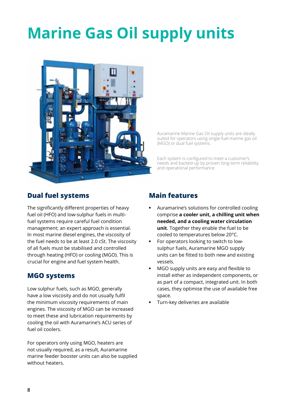### **Marine Gas Oil supply units**



Auramarine Marine Gas Oil supply units are ideally suited for operators using single-fuel marine gas oil (MGO) or dual fuel systems.

Each system is configured to meet a customer's needs and backed-up by proven long-term reliability and operational performance.

#### **Dual fuel systems**

The significantly different properties of heavy fuel oil (HFO) and low-sulphur fuels in multifuel systems require careful fuel condition management; an expert approach is essential. In most marine diesel engines, the viscosity of the fuel needs to be at least 2.0 cSt. The viscosity of all fuels must be stabilised and controlled through heating (HFO) or cooling (MGO). This is crucial for engine and fuel system health.

#### **MGO systems**

Low sulphur fuels, such as MGO, generally have a low viscosity and do not usually fulfil the minimum viscosity requirements of main engines. The viscosity of MGO can be increased to meet these and lubrication requirements by cooling the oil with Auramarine's ACU series of fuel oil coolers.

For operators only using MGO, heaters are not usually required, as a result, Auramarine marine feeder booster units can also be supplied without heaters.

#### **Main features**

- **•** Auramarine's solutions for controlled cooling comprise **a cooler unit, a chilling unit when needed, and a cooling water circulation unit**. Together they enable the fuel to be cooled to temperatures below 20°C.
- **•** For operators looking to switch to lowsulphur fuels, Auramarine MGO supply units can be fitted to both new and existing vessels.
- **•** MGO supply units are easy and flexible to install either as independent components, or as part of a compact, integrated unit. In both cases, they optimise the use of available free space.
- **•** Turn-key deliveries are available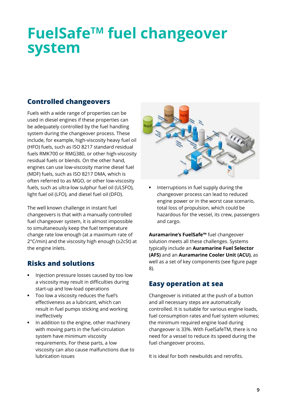### **FuelSafeTM fuel changeover system**

#### **Controlled changeovers**

Fuels with a wide range of properties can be used in diesel engines if these properties can be adequately controlled by the fuel handling system during the changeover process. These include, for example, high-viscosity heavy fuel oil (HFO) fuels, such as ISO 8217 standard residual fuels RMK700 or RMG380, or other high-viscosity residual fuels or blends. On the other hand, engines can use low-viscosity marine diesel fuel (MDF) fuels, such as ISO 8217 DMA, which is often referred to as MGO, or other low-viscosity fuels, such as ultra-low sulphur fuel oil (ULSFO), light fuel oil (LFO), and diesel fuel oil (DFO).

The well known challenge in instant fuel changeovers is that with a manually controlled fuel changeover system, it is almost impossible to simultaneously keep the fuel temperature change rate low enough (at a maximum rate of 2°C/min) and the viscosity high enough (≥2cSt) at the engine inlets.

#### **Risks and solutions**

- **•** Injection pressure losses caused by too low a viscosity may result in difficulties during start-up and low-load operations
- **•** Too low a viscosity reduces the fuel's effectiveness as a lubricant, which can result in fuel pumps sticking and working ineffectively
- **•** In addition to the engine, other machinery with moving parts in the fuel-circulation system have minimum viscosity requirements. For these parts, a low viscosity can also cause malfunctions due to lubrication issues



**•** Interruptions in fuel supply during the changeover process can lead to reduced engine power or in the worst case scenario, total loss of propulsion, which could be hazardous for the vessel, its crew, passengers and cargo.

**Auramarine's FuelSafe™** fuel changeover solution meets all these challenges. Systems typically include an **Auramarine Fuel Selector (AFS)** and an **Auramarine Cooler Unit (ACU)**, as well as a set of key components (see figure page 8).

#### **Easy operation at sea**

Changeover is initiated at the push of a button and all necessary steps are automatically controlled. It is suitable for various engine loads, fuel consumption rates and fuel system volumes; the minimum required engine load during changeover is 33%. With FuelSafeTM, there is no need for a vessel to reduce its speed during the fuel changeover process.

It is ideal for both newbuilds and retrofits.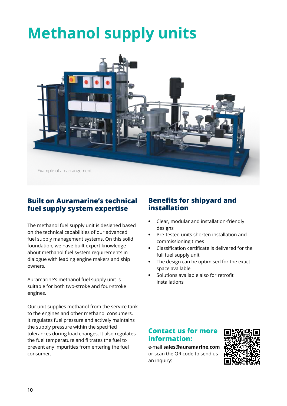### **Methanol supply units**



#### **Built on Auramarine's technical fuel supply system expertise**

The methanol fuel supply unit is designed based on the technical capabilities of our advanced fuel supply management systems. On this solid foundation, we have built expert knowledge about methanol fuel system requirements in dialogue with leading engine makers and ship owners.

Auramarine's methanol fuel supply unit is suitable for both two-stroke and four-stroke engines.

Our unit supplies methanol from the service tank to the engines and other methanol consumers. It regulates fuel pressure and actively maintains the supply pressure within the specified tolerances during load changes. It also regulates the fuel temperature and filtrates the fuel to prevent any impurities from entering the fuel consumer.

#### **Benefits for shipyard and installation**

- **•** Clear, modular and installation-friendly designs
- **•** Pre-tested units shorten installation and commissioning times
- **•** Classification certificate is delivered for the full fuel supply unit
- **•** The design can be optimised for the exact space available
- **•** Solutions available also for retrofit installations

#### **Contact us for more information:**

e-mail **sales@auramarine.com** or scan the QR code to send us an inquiry:

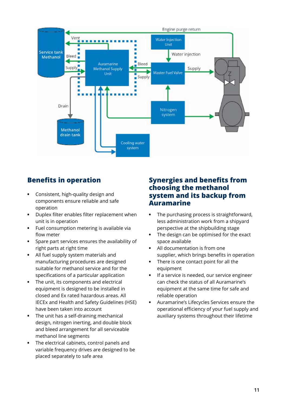

#### **Benefits in operation**

- **•** Consistent, high-quality design and components ensure reliable and safe operation
- **•** Duplex filter enables filter replacement when unit is in operation
- **•** Fuel consumption metering is available via flow meter
- **•** Spare part services ensures the availability of right parts at right time
- **•** All fuel supply system materials and manufacturing procedures are designed suitable for methanol service and for the specifications of a particular application
- **•** The unit, its components and electrical equipment is designed to be installed in closed and Ex rated hazardous areas. All IECEx and Health and Safety Guidelines (HSE) have been taken into account
- **•** The unit has a self-draining mechanical design, nitrogen inerting, and double block and bleed arrangement for all serviceable methanol line segments
- **•** The electrical cabinets, control panels and variable frequency drives are designed to be placed separately to safe area

#### **Synergies and benefits from choosing the methanol system and its backup from Auramarine**

- **•** The purchasing process is straightforward, less administration work from a shipyard perspective at the shipbuilding stage
- **•** The design can be optimised for the exact space available
- **•** All documentation is from one supplier, which brings benefits in operation
- **•** There is one contact point for all the equipment
- **•** If a service is needed, our service engineer can check the status of all Auramarine's equipment at the same time for safe and reliable operation
- **•** Auramarine's Lifecycles Services ensure the operational efficiency of your fuel supply and auxiliary systems throughout their lifetime